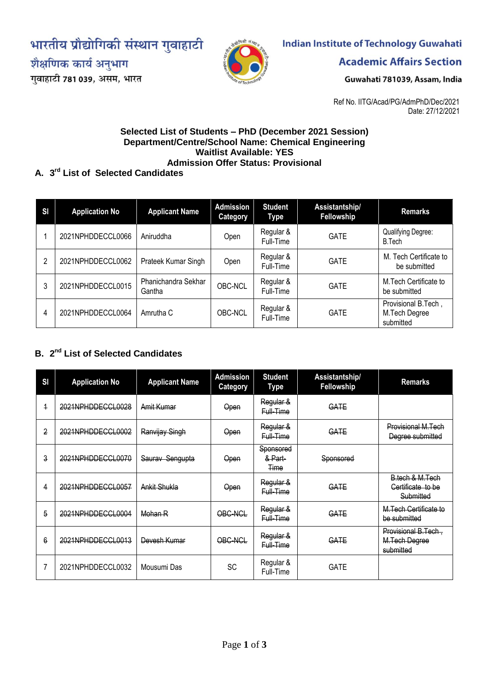भारतीय प्रौद्योगिकी संस्थान गुवाहाटी

शैक्षणिक कार्य अनुभाग

गुवाहाटी 781 039, असम, भारत



# **Indian Institute of Technology Guwahati**

**Academic Affairs Section** 

Guwahati 781039, Assam, India

Ref No. IITG/Acad/PG/AdmPhD/Dec/2021 Date: 27/12/2021

#### **Selected List of Students – PhD (December 2021 Session) Department/Centre/School Name: Chemical Engineering Waitlist Available: YES Admission Offer Status: Provisional**

### **A. 3 rd List of Selected Candidates**

| <b>SI</b> | <b>Application No</b> | <b>Applicant Name</b>         | <b>Admission</b><br><b>Category</b> | <b>Student</b><br>Type | Assistantship/<br>Fellowship | <b>Remarks</b>                                    |
|-----------|-----------------------|-------------------------------|-------------------------------------|------------------------|------------------------------|---------------------------------------------------|
|           | 2021NPHDDECCL0066     | Aniruddha                     | Open                                | Regular &<br>Full-Time | <b>GATE</b>                  | <b>Qualifying Degree:</b><br><b>B.Tech</b>        |
| າ         | 2021NPHDDECCL0062     | Prateek Kumar Singh           | Open                                | Regular &<br>Full-Time | <b>GATE</b>                  | M. Tech Certificate to<br>be submitted            |
| 3         | 2021NPHDDECCL0015     | Phanichandra Sekhar<br>Gantha | OBC-NCL                             | Regular &<br>Full-Time | <b>GATE</b>                  | M.Tech Certificate to<br>be submitted             |
| 4         | 2021NPHDDECCL0064     | Amrutha C                     | OBC-NCL                             | Regular &<br>Full-Time | <b>GATE</b>                  | Provisional B.Tech,<br>M.Tech Degree<br>submitted |

## **B. 2 nd List of Selected Candidates**

| SI             | <b>Application No</b> | <b>Applicant Name</b> | <b>Admission</b><br><b>Category</b> | <b>Student</b><br><b>Type</b>       | Assistantship/<br>Fellowship | <b>Remarks</b>                                    |
|----------------|-----------------------|-----------------------|-------------------------------------|-------------------------------------|------------------------------|---------------------------------------------------|
| $\overline{1}$ | 2021NPHDDECCL0028     | Amit Kumar            | Open                                | Regular &<br>Full-Time              | GATE                         |                                                   |
| 2              | 2021NPHDDECCL0002     | Ranvijay Singh        | Open                                | Regular &<br>Full-Time              | GATE                         | Provisional M.Tech<br>Degree submitted            |
| 3              | 2021NPHDDECCL0070     | Saurav Sengupta       | Open                                | Sponsored<br>& Part-<br><b>Time</b> | Sponsored                    |                                                   |
| 4              | 2021NPHDDECCL0057     | Ankit Shukla          | Open                                | Regular &<br>Full-Time              | GATE                         | B.tech & M.Tech<br>Certificate to be<br>Submitted |
| 5              | 2021NPHDDECCL0004     | Mohan R               | OBC-NCL                             | Regular &<br>Full-Time              | GATE                         | M.Tech Certificate to<br>be submitted             |
| 6              | 2021NPHDDECCL0013     | Devesh Kumar          | OBC-NCL                             | Regular &<br>Full-Time              | GATE                         | Provisional B.Tech,<br>M.Tech Degree<br>submitted |
|                | 2021NPHDDECCL0032     | Mousumi Das           | <b>SC</b>                           | Regular &<br>Full-Time              | <b>GATE</b>                  |                                                   |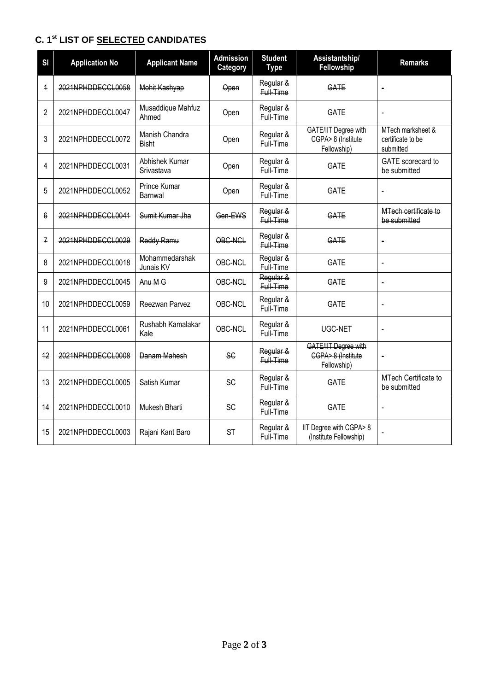## **C. 1 st LIST OF SELECTED CANDIDATES**

| SI                      | <b>Application No</b> | <b>Applicant Name</b>          | <b>Admission</b><br>Category | <b>Student</b><br><b>Type</b> | Assistantship/<br>Fellowship                                     | <b>Remarks</b>                                      |
|-------------------------|-----------------------|--------------------------------|------------------------------|-------------------------------|------------------------------------------------------------------|-----------------------------------------------------|
| $\overline{\mathbf{1}}$ | 2021NPHDDECCL0058     | Mohit Kashyap                  | Open                         | Regular &<br>Full-Time        | GATE                                                             | $\blacksquare$                                      |
| $\overline{2}$          | 2021NPHDDECCL0047     | Musaddique Mahfuz<br>Ahmed     | Open                         | Regular &<br>Full-Time        | <b>GATE</b>                                                      | $\overline{a}$                                      |
| 3                       | 2021NPHDDECCL0072     | Manish Chandra<br><b>Bisht</b> | Open                         | Regular &<br>Full-Time        | GATE/IIT Degree with<br>CGPA> 8 (Institute<br>Fellowship)        | MTech marksheet &<br>certificate to be<br>submitted |
| 4                       | 2021NPHDDECCL0031     | Abhishek Kumar<br>Srivastava   | Open                         | Regular &<br>Full-Time        | <b>GATE</b>                                                      | GATE scorecard to<br>be submitted                   |
| 5                       | 2021NPHDDECCL0052     | Prince Kumar<br>Barnwal        | Open                         | Regular &<br>Full-Time        | <b>GATE</b>                                                      | $\overline{a}$                                      |
| 6                       | 2021NPHDDECCL0041     | Sumit Kumar Jha                | Gen-EWS                      | Regular &<br>Full-Time        | GATE                                                             | MTech certificate to<br>be submitted                |
| $\overline{f}$          | 2021NPHDDECCL0029     | Reddy Ramu                     | OBC-NCL                      | Regular &<br>Full-Time        | GATE                                                             | $\blacksquare$                                      |
| 8                       | 2021NPHDDECCL0018     | Mohammedarshak<br>Junais KV    | OBC-NCL                      | Regular &<br>Full-Time        | <b>GATE</b>                                                      | L,                                                  |
| 9                       | 2021NPHDDECCL0045     | Anu M G                        | OBC-NCL                      | Regular &<br>Full-Time        | GATE                                                             | $\blacksquare$                                      |
| 10                      | 2021NPHDDECCL0059     | Reezwan Parvez                 | OBC-NCL                      | Regular &<br>Full-Time        | <b>GATE</b>                                                      | $\overline{a}$                                      |
| 11                      | 2021NPHDDECCL0061     | Rushabh Kamalakar<br>Kale      | OBC-NCL                      | Regular &<br>Full-Time        | UGC-NET                                                          | $\blacksquare$                                      |
| 12                      | 2021NPHDDECCL0008     | Danam Mahesh                   | <b>SC</b>                    | Regular &<br>Full-Time        | <b>GATE/IIT Degree with</b><br>CGPA> 8 (Institute<br>Fellowship) | $\blacksquare$                                      |
| 13                      | 2021NPHDDECCL0005     | Satish Kumar                   | <b>SC</b>                    | Regular &<br>Full-Time        | <b>GATE</b>                                                      | MTech Certificate to<br>be submitted                |
| 14                      | 2021NPHDDECCL0010     | Mukesh Bharti                  | SC                           | Regular &<br>Full-Time        | <b>GATE</b>                                                      | $\blacksquare$                                      |
| 15                      | 2021NPHDDECCL0003     | Rajani Kant Baro               | <b>ST</b>                    | Regular &<br>Full-Time        | IIT Degree with CGPA> 8<br>(Institute Fellowship)                | $\overline{a}$                                      |